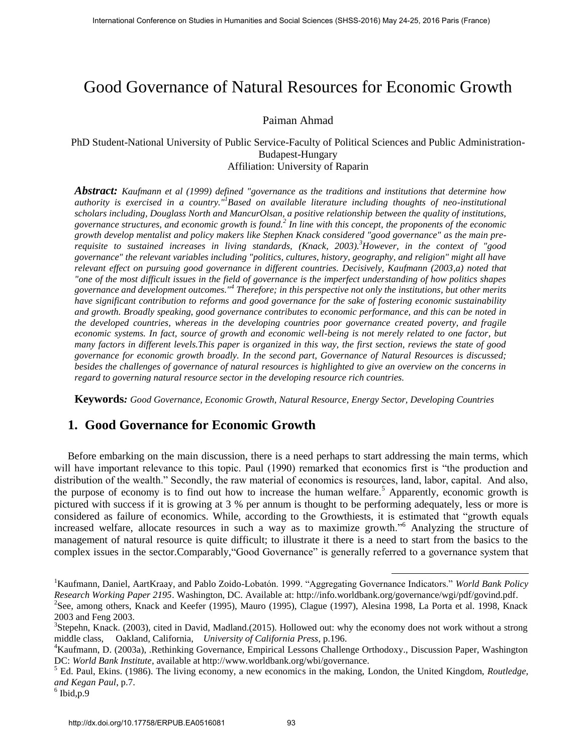# Good Governance of Natural Resources for Economic Growth

### Paiman Ahmad

PhD Student-National University of Public Service-Faculty of Political Sciences and Public Administration-Budapest-Hungary Affiliation: University of Raparin

*Abstract: Kaufmann et al (1999) defined "governance as the traditions and institutions that determine how authority is exercised in a country."<sup>1</sup> Based on available literature including thoughts of neo-institutional scholars including, Douglass North and MancurOlsan, a positive relationship between the quality of institutions, governance structures, and economic growth is found.<sup>2</sup> In line with this concept, the proponents of the economic growth develop mentalist and policy makers like Stephen Knack considered "good governance" as the main prerequisite to sustained increases in living standards, (Knack, 2003).<sup>3</sup>However, in the context of "good governance" the relevant variables including "politics, cultures, history, geography, and religion" might all have relevant effect on pursuing good governance in different countries. Decisively, Kaufmann (2003,a) noted that "one of the most difficult issues in the field of governance is the imperfect understanding of how politics shapes governance and development outcomes."<sup>4</sup> Therefore; in this perspective not only the institutions, but other merits have significant contribution to reforms and good governance for the sake of fostering economic sustainability and growth. Broadly speaking, good governance contributes to economic performance, and this can be noted in the developed countries, whereas in the developing countries poor governance created poverty, and fragile economic systems. In fact, source of growth and economic well-being is not merely related to one factor, but many factors in different levels.This paper is organized in this way, the first section, reviews the state of good governance for economic growth broadly. In the second part, Governance of Natural Resources is discussed; besides the challenges of governance of natural resources is highlighted to give an overview on the concerns in regard to governing natural resource sector in the developing resource rich countries.* International Conference on States in Furnitus and Social Sciences for Figuritan Administrational Conference of Natural Resources for Figuritan Administrational Conference of Natural Resources for Figuritan Administration

**Keywords***: Good Governance, Economic Growth, Natural Resource, Energy Sector, Developing Countries*

## **1. Good Governance for Economic Growth**

Before embarking on the main discussion, there is a need perhaps to start addressing the main terms, which will have important relevance to this topic. Paul (1990) remarked that economics first is "the production and distribution of the wealth." Secondly, the raw material of economics is resources, land, labor, capital. And also, the purpose of economy is to find out how to increase the human welfare.<sup>5</sup> Apparently, economic growth is pictured with success if it is growing at 3 % per annum is thought to be performing adequately, less or more is considered as failure of economics. While, according to the Growthiests, it is estimated that "growth equals increased welfare, allocate resources in such a way as to maximize growth."<sup>6</sup> Analyzing the structure of management of natural resource is quite difficult; to illustrate it there is a need to start from the basics to the complex issues in the sector.Comparably,"Good Governance" is generally referred to a governance system that

<sup>1</sup>Kaufmann, Daniel, AartKraay, and Pablo Zoido-Lobatón. 1999. "Aggregating Governance Indicators." *World Bank Policy Research Working Paper 2195*. Washington, DC. Available at[: http://info.worldbank.org/governance/wgi/pdf/govind.pdf.](http://info.worldbank.org/governance/wgi/pdf/govind.pdf)

<sup>&</sup>lt;sup>2</sup>See, among others, Knack and Keefer (1995), Mauro (1995), Clague (1997), Alesina 1998, La Porta et al. 1998, Knack 2003 and Feng 2003.

<sup>&</sup>lt;sup>3</sup>Stepehn, Knack. (2003), cited in David, Madland.(2015). Hollowed out: why the economy does not work without a strong middle class, Oakland, California, *University of California Press*, p.196.

<sup>4</sup>Kaufmann, D. (2003a), .Rethinking Governance, Empirical Lessons Challenge Orthodoxy., Discussion Paper, Washington DC: *World Bank Institute*, available at http://www.worldbank.org/wbi/governance.

<sup>5</sup> Ed. Paul, Ekins. (1986). The living economy, a new economics in the making, London, the United Kingdom, *Routledge, and Kegan Paul*, p.7.

 $6$  Ibid, p. 9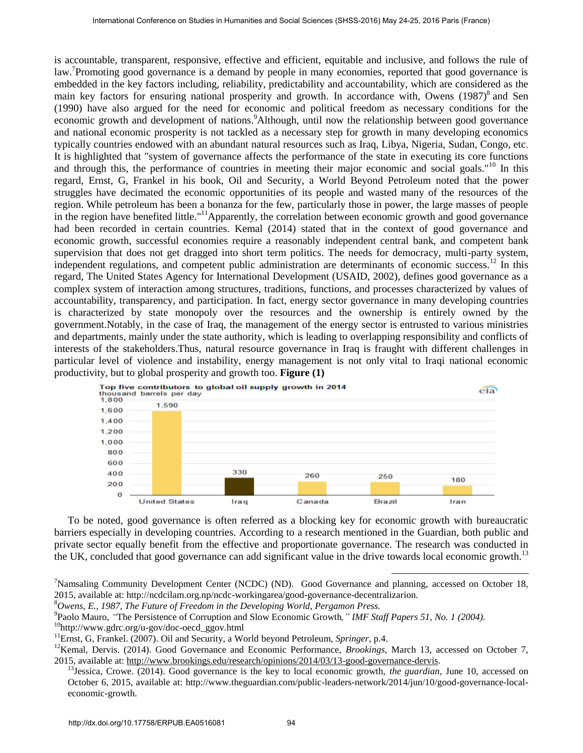is accountable, transparent, responsive, effective and efficient, equitable and inclusive, and follows the rule of law.<sup>7</sup>Promoting good governance is a demand by people in many economies, reported that good governance is embedded in the key factors including, reliability, predictability and accountability, which are considered as the main key factors for ensuring national prosperity and growth. In accordance with, Owens (1987)<sup>8</sup> and Sen (1990) have also argued for the need for economic and political freedom as necessary conditions for the economic growth and development of nations.<sup>9</sup>Although, until now the relationship between good governance and national economic prosperity is not tackled as a necessary step for growth in many developing economics typically countries endowed with an abundant natural resources such as Iraq, Libya, Nigeria, Sudan, Congo, etc. It is highlighted that "system of governance affects the performance of the state in executing its core functions and through this, the performance of countries in meeting their major economic and social goals."<sup>10</sup> In this regard, Ernst, G, Frankel in his book, Oil and Security, a World Beyond Petroleum noted that the power struggles have decimated the economic opportunities of its people and wasted many of the resources of the region. While petroleum has been a bonanza for the few, particularly those in power, the large masses of people in the region have benefited little."<sup>11</sup>Apparently, the correlation between economic growth and good governance had been recorded in certain countries. Kemal (2014) stated that in the context of good governance and economic growth, successful economies require a reasonably independent central bank, and competent bank supervision that does not get dragged into short term politics. The needs for democracy, multi-party system, independent regulations, and competent public administration are determinants of economic success.<sup>12</sup> In this regard, The United States Agency for International Development (USAID, 2002), defines good governance as a complex system of interaction among structures, traditions, functions, and processes characterized by values of accountability, transparency, and participation. In fact, energy sector governance in many developing countries is characterized by state monopoly over the resources and the ownership is entirely owned by the government.Notably, in the case of Iraq, the management of the energy sector is entrusted to various ministries and departments, mainly under the state authority, which is leading to overlapping responsibility and conflicts of interests of the stakeholders.Thus, natural resource governance in Iraq is fraught with different challenges in particular level of violence and instability, energy management is not only vital to Iraqi national economic productivity, but to global prosperity and growth too. **Figure (1)** Internation Conferes on States in Longitudies in Humanities in Humanities and International International International Conference on Social Science and Society and The Lynches and International Conference of the Lynches



To be noted, good governance is often referred as a blocking key for economic growth with bureaucratic barriers especially in developing countries. According to a research mentioned in the Guardian, both public and private sector equally benefit from the effective and proportionate governance. The research was conducted in the UK, concluded that good governance can add significant value in the drive towards local economic growth.<sup>13</sup>

<sup>&</sup>lt;sup>7</sup>Namsaling Community Development Center (NCDC) (ND). Good Governance and planning, accessed on October 18, 2015, available at: http://ncdcilam.org.np/ncdc-workingarea/good-governance-decentralizarion.

<sup>8</sup>*Owens, E., 1987, The Future of Freedom in the Developing World, Pergamon Press.*

<sup>9</sup> Paolo Mauro, *"*The Persistence of Corruption and Slow Economic Growth*," IMF Staff Papers 51, No. 1 (2004).*

<sup>10</sup>http://www.gdrc.org/u-gov/doc-oecd\_ggov.html

<sup>11</sup>Ernst, G, Frankel. (2007). Oil and Security, a World beyond Petroleum, *Springer*, p.4.

<sup>&</sup>lt;sup>12</sup>Kemal, Dervis. (2014). Good Governance and Economic Performance, *Brookings*, March 13, accessed on October 7, 2015, available at: http://www.brookings.edu/research/opinions/2014/03/13-good-governance-dervis.

<sup>13</sup>Jessica, Crowe. (2014). Good governance is the key to local economic growth, *the guardian*, June 10, accessed on October 6, 2015, available at: [http://www.theguardian.com/public-leaders-network/2014/jun/10/good-governance-local](http://www.theguardian.com/public-leaders-network/2014/jun/10/good-governance-local-economic-growth)economic-growth.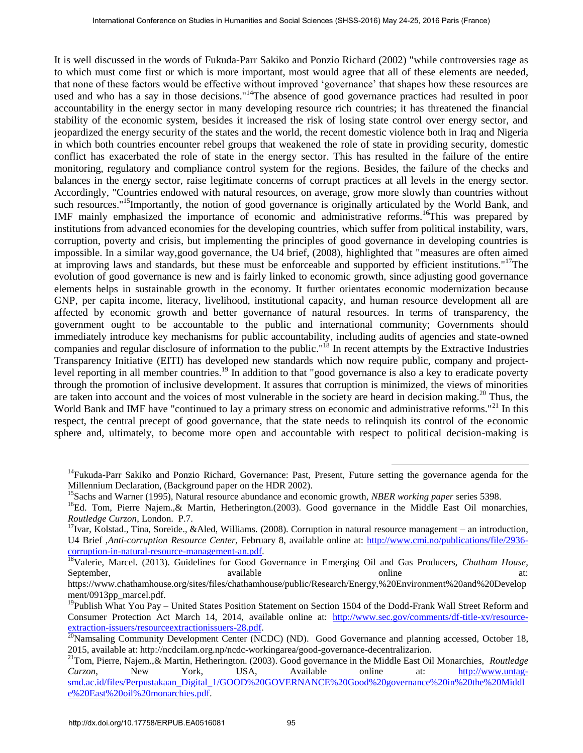It is well discussed in the words of Fukuda-Parr Sakiko and Ponzio Richard (2002) "while controversies rage as to which must come first or which is more important, most would agree that all of these elements are needed, that none of these factors would be effective without improved 'governance' that shapes how these resources are used and who has a say in those decisions."<sup>14</sup>The absence of good governance practices had resulted in poor accountability in the energy sector in many developing resource rich countries; it has threatened the financial stability of the economic system, besides it increased the risk of losing state control over energy sector, and jeopardized the energy security of the states and the world, the recent domestic violence both in Iraq and Nigeria in which both countries encounter rebel groups that weakened the role of state in providing security, domestic conflict has exacerbated the role of state in the energy sector. This has resulted in the failure of the entire monitoring, regulatory and compliance control system for the regions. Besides, the failure of the checks and balances in the energy sector, raise legitimate concerns of corrupt practices at all levels in the energy sector. Accordingly, "Countries endowed with natural resources, on average, grow more slowly than countries without such resources."<sup>15</sup>Importantly, the notion of good governance is originally articulated by the World Bank, and IMF mainly emphasized the importance of economic and administrative reforms.<sup>16</sup>This was prepared by institutions from advanced economies for the developing countries, which suffer from political instability, wars, corruption, poverty and crisis, but implementing the principles of good governance in developing countries is impossible. In a similar way,good governance, the U4 brief, (2008), highlighted that "measures are often aimed at improving laws and standards, but these must be enforceable and supported by efficient institutions."<sup>17</sup>The evolution of good governance is new and is fairly linked to economic growth, since adjusting good governance elements helps in sustainable growth in the economy. It further orientates economic modernization because GNP, per capita income, literacy, livelihood, institutional capacity, and human resource development all are affected by economic growth and better governance of natural resources. In terms of transparency, the government ought to be accountable to the public and international community; Governments should immediately introduce key mechanisms for public accountability, including audits of agencies and state-owned companies and regular disclosure of information to the public."<sup>18</sup> In recent attempts by the Extractive Industries Transparency Initiative (EITI) has developed new standards which now require public, company and projectlevel reporting in all member countries.<sup>19</sup> In addition to that "good governance is also a key to eradicate poverty through the promotion of inclusive development. It assures that corruption is minimized, the views of minorities are taken into account and the voices of most vulnerable in the society are heard in decision making.<sup>20</sup> Thus, the World Bank and IMF have "continued to lay a primary stress on economic and administrative reforms."<sup>21</sup> In this respect, the central precept of good governance, that the state needs to relinquish its control of the economic sphere and, ultimately, to become more open and accountable with respect to political decision-making is International Conference on States in Longitudes and Conference of Social Science of States and the bottomal Conference of Social Sciences (SHSS-2016) Conference in the states of Conference of Social Sciences in Humanitie

**-**

<sup>&</sup>lt;sup>14</sup>Fukuda-Parr Sakiko and Ponzio Richard, Governance: Past, Present, Future setting the governance agenda for the Millennium Declaration, (Background paper on the HDR 2002).

<sup>&</sup>lt;sup>15</sup>Sachs and Warner (1995), Natural resource abundance and economic growth, *NBER working paper* series 5398.

<sup>&</sup>lt;sup>16</sup>Ed. Tom, Pierre Najem., & Martin, Hetherington.(2003). Good governance in the Middle East Oil monarchies, *Routledge Curzon*, London. P.7.

 $17$ Ivar, Kolstad., Tina, Soreide., &Aled, Williams. (2008). Corruption in natural resource management – an introduction, U4 Brief ,*Anti-corruption Resource Center,* February 8, available online at: [http://www.cmi.no/publications/file/2936](http://www.cmi.no/publications/file/2936-corruption-in-natural-resource-management-an.pdf) corruption-in-natural-resource-management-an.pdf.

<sup>&</sup>lt;sup>18</sup>Valerie, Marcel. (2013). Guidelines for Good Governance in Emerging Oil and Gas Producers, *Chatham House*, September, available online at: https://www.chathamhouse.org/sites/files/chathamhouse/public/Research/Energy,%20Environment%20and%20Develop

ment/0913pp\_marcel.pdf.

<sup>&</sup>lt;sup>19</sup>Publish What You Pay – United States Position Statement on Section 1504 of the Dodd-Frank Wall Street Reform and Consumer Protection Act March 14, 2014, available online at: [http://www.sec.gov/comments/df-title-xv/resource](http://www.sec.gov/comments/df-title-xv/resource-extraction-issuers/resourceextractionissuers-28.pdf)extraction-issuers/resourceextractionissuers-28.pdf.

 $^{20}$ Namsaling Community Development Center (NCDC) (ND). Good Governance and planning accessed, October 18, 2015, available at: http://ncdcilam.org.np/ncdc-workingarea/good-governance-decentralizarion.

<sup>21</sup>Tom, Pierre, Najem.,& Martin, Hetherington. (2003). Good governance in the Middle East Oil Monarchies, *Routledge Curzon*, New York, USA, Available online at: [http://www.untag](http://www.untag-smd.ac.id/files/Perpustakaan_Digital_1/GOOD%20GOVERNANCE%20Good%20governance%20in%20the%20Middle%20East%20oil%20monarchies.pdf)smd.ac.id/files/Perpustakaan\_Digital\_1/GOOD%20GOVERNANCE%20Good%20governance%20in%20the%20Middl e%20East%20oil%20monarchies.pdf.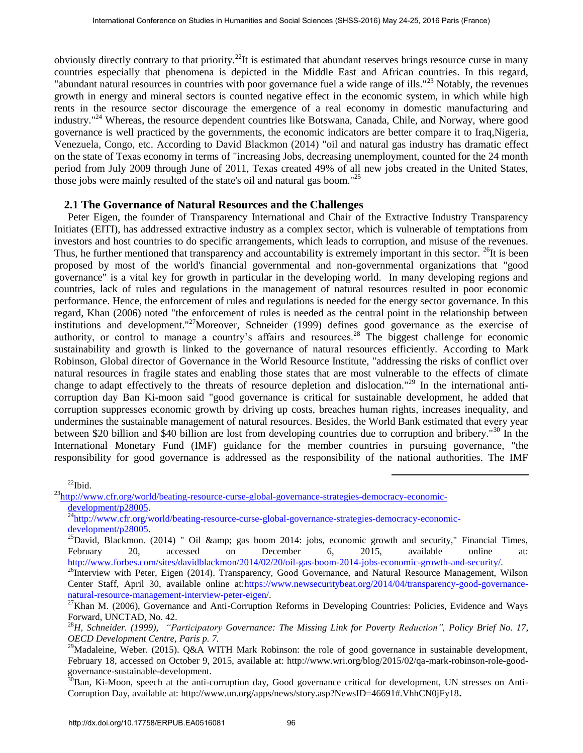obviously directly contrary to that priority.<sup>22</sup>It is estimated that abundant reserves brings resource curse in many countries especially that phenomena is depicted in the Middle East and African countries. In this regard, "abundant natural resources in countries with poor governance fuel a wide range of ills."<sup>23</sup> Notably, the revenues growth in energy and mineral sectors is counted negative effect in the economic system, in which while high rents in the resource sector discourage the emergence of a real economy in domestic manufacturing and industry."<sup>24</sup> Whereas, the resource dependent countries like Botswana, Canada, Chile, and Norway, where good governance is well practiced by the governments, the economic indicators are better compare it to Iraq,Nigeria, Venezuela, Congo, etc. According to David Blackmon (2014) "oil and natural gas industry has dramatic effect on the state of Texas economy in terms of "increasing Jobs, decreasing unemployment, counted for the 24 month period from July 2009 through June of 2011, Texas created 49% of all new jobs created in the United States, those jobs were mainly resulted of the state's oil and natural gas boom."<sup>25</sup>

#### **2.1 The Governance of Natural Resources and the Challenges**

Peter Eigen, the founder of Transparency International and Chair of the Extractive Industry Transparency Initiates (EITI), has addressed extractive industry as a complex sector, which is vulnerable of temptations from investors and host countries to do specific arrangements, which leads to corruption, and misuse of the revenues. Thus, he further mentioned that transparency and accountability is extremely important in this sector. <sup>26</sup>It is been proposed by most of the world's financial governmental and non-governmental organizations that "good governance" is a vital key for growth in particular in the developing world. In many developing regions and countries, lack of rules and regulations in the management of natural resources resulted in poor economic performance. Hence, the enforcement of rules and regulations is needed for the energy sector governance. In this regard, Khan (2006) noted "the enforcement of rules is needed as the central point in the relationship between institutions and development."<sup>27</sup>Moreover, Schneider (1999) defines good governance as the exercise of authority, or control to manage a country's affairs and resources.<sup>28</sup> The biggest challenge for economic sustainability and growth is linked to the governance of natural resources efficiently. According to Mark Robinson, Global director of Governance in the World Resource Institute, "addressing the risks o[f conflict over](http://www.wri.org/blog/2009/08/stopping-resource-wars-africa)  natural resources in fragile states and enabling those states that are most vulnerable to the effects of climate change to adapt effectively to the threats of resource depletion and dislocation."<sup>29</sup> In the international anticorruption day Ban Ki-moon said "good governance is critical for sustainable development, he added that corruption suppresses economic growth by driving up costs, breaches human rights, increases inequality, and undermines the sustainable management of natural resources. Besides, the World Bank estimated that every year between \$20 billion and \$40 billion are lost from developing countries due to corruption and bribery."<sup>30</sup> In the International Monetary Fund (IMF) guidance for the member countries in pursuing governance, "the responsibility for good governance is addressed as the responsibility of the national authorities. The IMF Internation Conference on States in Humanities and Society States in Humanities in Humanities in Humanities in Humanities in Humanities in Humanities and Social Sciences (SHS) Paris (France) (May 2018) May 24-25, 2018) (M

 $^{22}$ Ibid.

<sup>&</sup>lt;sup>23</sup>http://www.cfr.org/world/beating-resource-curse-global-governance-strategies-democracy-economicdevelopment/p28005.

<sup>&</sup>lt;sup>24</sup>http://www.cfr.org/world/beating-resource-curse-global-governance-strategies-democracy-economicdevelopment/p28005.

 $^{25}$ David, Blackmon. (2014) " Oil & amp; gas boom 2014: jobs, economic growth and security," Financial Times, February 20, accessed on December 6, 2015, available online at: http://www.forbes.com/sites/davidblackmon/2014/02/20/oil-gas-boom-2014-jobs-economic-growth-and-security/.

<sup>&</sup>lt;sup>26</sup>Interview with Peter, Eigen (2014). Transparency, Good Governance, and Natural Resource Management, Wilson Center Staff, April 30, available online at:https://www.newsecuritybeat.org/2014/04/transparency-good-governancenatural-resource-management-interview-peter-eigen/.

<sup>&</sup>lt;sup>27</sup>Khan M. (2006), Governance and Anti-Corruption Reforms in Developing Countries: Policies, Evidence and Ways Forward, UNCTAD, No. 42.

<sup>28</sup>*H, Schneider. (1999), "Participatory Governance: The Missing Link for Poverty Reduction", Policy Brief No. 17, OECD Development Centre, Paris p. 7.*

<sup>&</sup>lt;sup>29</sup>Madaleine, Weber. (2015). Q&A WITH Mark Robinson: the role of good governance in sustainable development, February 18, accessed on October 9, 2015, available at: http://www.wri.org/blog/2015/02/qa-mark-robinson-role-goodgovernance-sustainable-development.

 $30$ Ban, Ki-Moon, speech at the anti-corruption day, Good governance critical for development, UN stresses on Anti-Corruption Day, available at: http://www.un.org/apps/news/story.asp?NewsID=46691#.VhhCN0jFy18**.**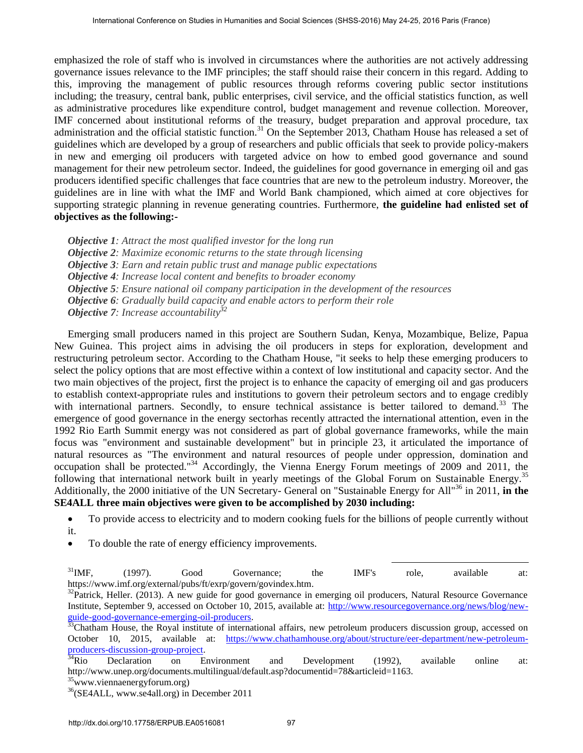emphasized the role of staff who is involved in circumstances where the authorities are not actively addressing governance issues relevance to the IMF principles; the staff should raise their concern in this regard. Adding to this, improving the management of public resources through reforms covering public sector institutions including; the treasury, central bank, public enterprises, civil service, and the official statistics function, as well as administrative procedures like expenditure control, budget management and revenue collection. Moreover, IMF concerned about institutional reforms of the treasury, budget preparation and approval procedure, tax administration and the official statistic function.<sup>31</sup> On the September 2013, Chatham House has released a set of guidelines which are developed by a group of researchers and public officials that seek to provide policy-makers in new and emerging oil producers with targeted advice on how to embed good governance and sound management for their new petroleum sector. Indeed, the guidelines for good governance in emerging oil and gas producers identified specific challenges that face countries that are new to the petroleum industry. Moreover, the guidelines are in line with what the IMF and World Bank championed, which aimed at core objectives for supporting strategic planning in revenue generating countries. Furthermore, **the guideline had enlisted set of objectives as the following:-** 

*Objective 1: Attract the most qualified investor for the long run* 

*Objective 2: Maximize economic returns to the state through licensing* 

*Objective 3: Earn and retain public trust and manage public expectations* 

*Objective 4: Increase local content and benefits to broader economy* 

*Objective 5: Ensure national oil company participation in the development of the resources* 

*Objective 6: Gradually build capacity and enable actors to perform their role* 

*Objective 7: Increase accountability<sup>32</sup>*

Emerging small producers named in this project are Southern Sudan, Kenya, Mozambique, Belize, Papua New Guinea. This project aims in advising the oil producers in steps for exploration, development and restructuring petroleum sector. According to the Chatham House, "it seeks to help these emerging producers to select the policy options that are most effective within a context of low institutional and capacity sector. And the two main objectives of the project, first the project is to enhance the capacity of emerging oil and gas producers to establish context-appropriate rules and institutions to govern their petroleum sectors and to engage credibly with international partners. Secondly, to ensure technical assistance is better tailored to demand.<sup>33</sup> The emergence of good governance in the energy sectorhas recently attracted the international attention, even in the 1992 Rio Earth Summit energy was not considered as part of global governance frameworks, while the main focus was "environment and sustainable development" but in principle 23, it articulated the importance of natural resources as "The environment and natural resources of people under oppression, domination and occupation shall be protected."<sup>34</sup> Accordingly, the Vienna Energy Forum meetings of 2009 and 2011, the following that international network built in yearly meetings of the Global Forum on Sustainable Energy.<sup>35</sup> Additionally, the 2000 initiative of the UN Secretary- General on "Sustainable Energy for All"<sup>36</sup> in 2011, in the **SE4ALL three main objectives were given to be accomplished by 2030 including:** International Conference on Studies in Humanities and Societies (May 24:22, 2018) Paris (May 24:23) May 24:23) May 24:23, 2018 Paris (May 24:24) May 24:23, 2018 Paris (May 24:24) May 24:24) May 24:24 (May 24:24) May 24:24

- To provide access to electricity and to modern cooking fuels for the billions of people currently without it.
- To double the rate of energy efficiency improvements.

1  $31$ IMF, (1997). Good Governance; the IMF's role, available at: https://www.imf.org/external/pubs/ft/exrp/govern/govindex.htm.

 $32$ Patrick, Heller. (2013). A new guide for good governance in emerging oil producers, Natural Resource Governance Institute, September 9, accessed on October 10, 2015, available at: [http://www.resourcegovernance.org/news/blog/new](http://www.resourcegovernance.org/news/blog/new-guide-good-governance-emerging-oil-producers)guide-good-governance-emerging-oil-producers.

<sup>33</sup>Chatham House, the Royal institute of international affairs, new petroleum producers discussion group, accessed on October 10, 2015, available at: [https://www.chathamhouse.org/about/structure/eer-department/new-petroleum](https://www.chathamhouse.org/about/structure/eer-department/new-petroleum-producers-discussion-group-project)producers-discussion-group-project.<br><sup>34</sup>Rio Declaration on E

 $34$ Rio Declaration on Environment and Development (1992), available online at: http://www.unep.org/documents.multilingual/default.asp?documentid=78&articleid=1163.

 $35$ www.viennaenergyforum.org)

<sup>36</sup>(SE4ALL, www.se4all.org) in December 2011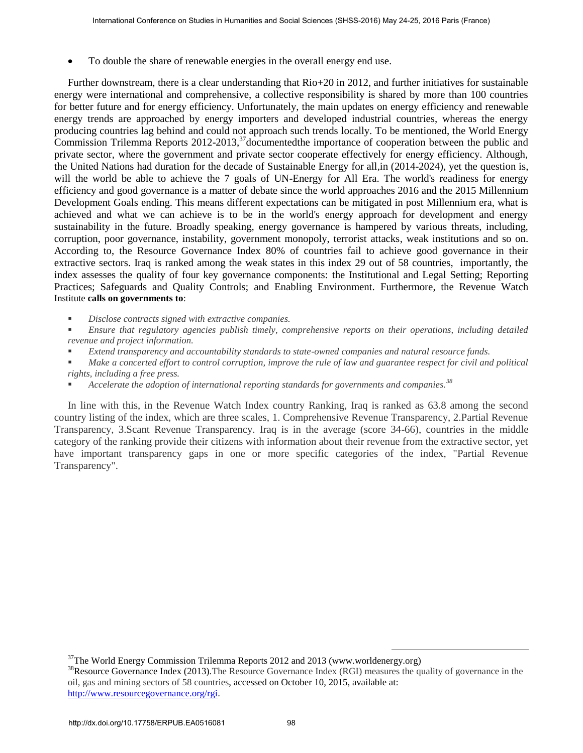To double the share of renewable energies in the overall energy end use.

Further downstream, there is a clear understanding that Rio+20 in 2012, and further initiatives for sustainable energy were international and comprehensive, a collective responsibility is shared by more than 100 countries for better future and for energy efficiency. Unfortunately, the main updates on energy efficiency and renewable energy trends are approached by energy importers and developed industrial countries, whereas the energy producing countries lag behind and could not approach such trends locally. To be mentioned, the World Energy Commission Trilemma Reports 2012-2013,<sup>37</sup> documented the importance of cooperation between the public and private sector, where the government and private sector cooperate effectively for energy efficiency. Although, the United Nations had duration for the decade of Sustainable Energy for all,in (2014-2024), yet the question is, will the world be able to achieve the 7 goals of UN-Energy for All Era. The world's readiness for energy efficiency and good governance is a matter of debate since the world approaches 2016 and the 2015 Millennium Development Goals ending. This means different expectations can be mitigated in post Millennium era, what is achieved and what we can achieve is to be in the world's energy approach for development and energy sustainability in the future. Broadly speaking, energy governance is hampered by various threats, including, corruption, poor governance, instability, government monopoly, terrorist attacks, weak institutions and so on. According to, the Resource Governance Index 80% of countries fail to achieve good governance in their extractive sectors. Iraq is ranked among the weak states in this index 29 out of 58 countries, importantly, the index assesses the quality of four key governance components: the Institutional and Legal Setting; Reporting Practices; Safeguards and Quality Controls; and Enabling Environment. Furthermore, the Revenue Watch Institute **calls on governments to**: Internation Conference on States in Lorentia and Social Sciences (SHSS-2016) May 24-25, 2016 Paris and the constrainting that Reinford Conservations and the internal Conservations and the internal Conservations and the in

*Disclose contracts signed with extractive companies.* 

- *Ensure that regulatory agencies publish timely, comprehensive reports on their operations, including detailed revenue and project information.*
- *Extend transparency and accountability standards to state-owned companies and natural resource funds.*
- *Make a concerted effort to control corruption, improve the rule of law and guarantee respect for civil and political rights, including a free press.*
- *Accelerate the adoption of international reporting standards for governments and companies.<sup>38</sup>*

In line with this, in the Revenue Watch Index country Ranking, Iraq is ranked as 63.8 among the second country listing of the index, which are three scales, 1. Comprehensive Revenue Transparency, 2.Partial Revenue Transparency, 3.Scant Revenue Transparency. Iraq is in the average (score 34-66), countries in the middle category of the ranking provide their citizens with information about their revenue from the extractive sector, yet have important transparency gaps in one or more specific categories of the index, "Partial Revenue Transparency".

 $37$ The World Energy Commission Trilemma Reports 2012 and 2013 (www.worldenergy.org)

<sup>&</sup>lt;sup>38</sup>Resource Governance Index (2013). The Resource Governance Index (RGI) measures the quality of governance in the oil, gas and mining sectors of 58 countries, accessed on October 10, 2015, available at: http://www.resourcegovernance.org/rgi.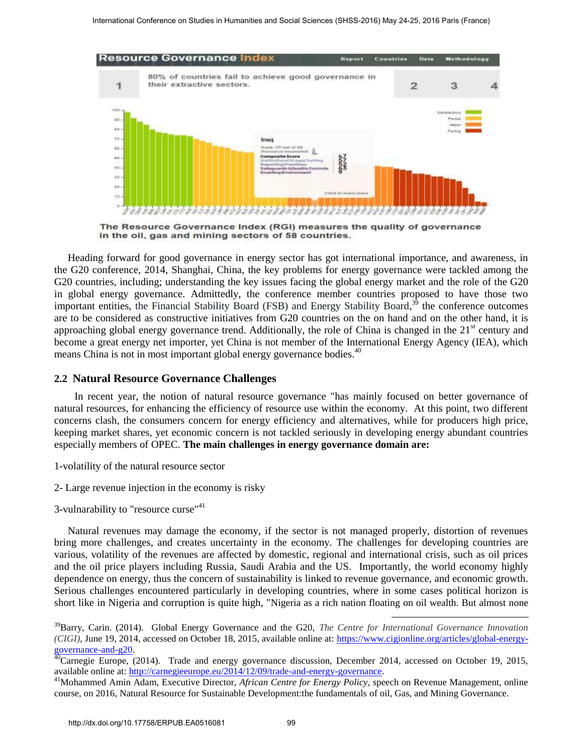

Heading forward for good governance in energy sector has got international importance, and awareness, in the G20 conference, 2014, Shanghai, China, the key problems for energy governance were tackled among the G20 countries, including; understanding the key issues facing the global energy market and the role of the G20 in global energy governance. Admittedly, the conference member countries proposed to have those two important entities, the Financial Stability Board (FSB) and Energy Stability Board,<sup>39</sup> the conference outcomes are to be considered as constructive initiatives from G20 countries on the on hand and on the other hand, it is approaching global energy governance trend. Additionally, the role of China is changed in the  $21<sup>st</sup>$  century and become a great energy net importer, yet China is not member of the International Energy Agency (IEA), which means China is not in most important global energy governance bodies.<sup>40</sup>

#### **2.2 Natural Resource Governance Challenges**

In recent year, the notion of natural resource governance "has mainly focused on better governance of natural resources, for enhancing the efficiency of resource use within the economy. At this point, two different concerns clash, the consumers concern for energy efficiency and alternatives, while for producers high price, keeping market shares, yet economic concern is not tackled seriously in developing energy abundant countries especially members of OPEC. **The main challenges in energy governance domain are:**

1-volatility of the natural resource sector

2- Large revenue injection in the economy is risky

3-vulnarability to "resource curse"<sup>41</sup>

Natural revenues may damage the economy, if the sector is not managed properly, distortion of revenues bring more challenges, and creates uncertainty in the economy. The challenges for developing countries are various, volatility of the revenues are affected by domestic, regional and international crisis, such as oil prices and the oil price players including Russia, Saudi Arabia and the US. Importantly, the world economy highly dependence on energy, thus the concern of sustainability is linked to revenue governance, and economic growth. Serious challenges encountered particularly in developing countries, where in some cases political horizon is short like in Nigeria and corruption is quite high, "Nigeria as a rich nation floating on oil wealth. But almost none

<sup>39</sup>Barry, Carin. (2014). Global Energy Governance and the G20, *The Centre for International Governance Innovation (CIGI),* June 19, 2014, accessed on October 18, 2015, available online at: [https://www.cigionline.org/articles/global-energy](https://www.cigionline.org/articles/global-energy-governance-and-g20)[governance-and-g20.](https://www.cigionline.org/articles/global-energy-governance-and-g20)

<sup>&</sup>lt;sup>40</sup>Carnegie Europe, (2014). Trade and energy governance discussion, December 2014, accessed on October 19, 2015, available online at: http://carnegieeurope.eu/2014/12/09/trade-and-energy-governance.

<sup>41</sup>Mohammed Amin Adam, Executive Director, *African Centre for Energy Policy*, speech on Revenue Management, online course, on 2016*,* Natural Resource for Sustainable Development:the fundamentals of oil, Gas, and Mining Governance.